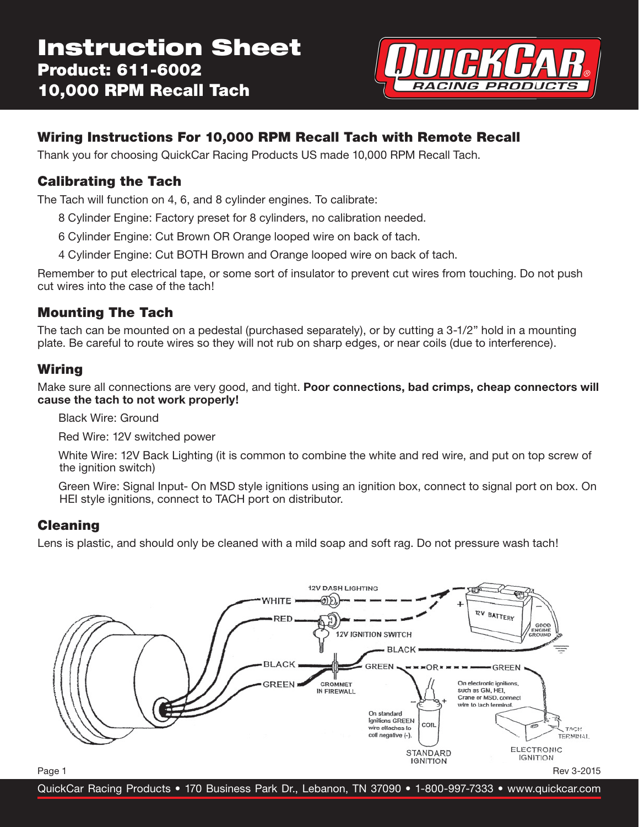

# **Wiring Instructions For 10,000 RPM Recall Tach with Remote Recall**

Thank you for choosing QuickCar Racing Products US made 10,000 RPM Recall Tach.

## **Calibrating the Tach**

The Tach will function on 4, 6, and 8 cylinder engines. To calibrate:

- 8 Cylinder Engine: Factory preset for 8 cylinders, no calibration needed.
- 6 Cylinder Engine: Cut Brown OR Orange looped wire on back of tach.
- 4 Cylinder Engine: Cut BOTH Brown and Orange looped wire on back of tach.

Remember to put electrical tape, or some sort of insulator to prevent cut wires from touching. Do not push cut wires into the case of the tach!

### **Mounting The Tach**

The tach can be mounted on a pedestal (purchased separately), or by cutting a 3-1/2" hold in a mounting plate. Be careful to route wires so they will not rub on sharp edges, or near coils (due to interference).

### **Wiring**

Make sure all connections are very good, and tight. **Poor connections, bad crimps, cheap connectors will cause the tach to not work properly!**

Black Wire: Ground

Red Wire: 12V switched power

 White Wire: 12V Back Lighting (it is common to combine the white and red wire, and put on top screw of the ignition switch)

 Green Wire: Signal Input- On MSD style ignitions using an ignition box, connect to signal port on box. On HEI style ignitions, connect to TACH port on distributor.

#### **Cleaning**

Lens is plastic, and should only be cleaned with a mild soap and soft rag. Do not pressure wash tach!



QuickCar Racing Products • 170 Business Park Dr., Lebanon, TN 37090 • 1-800-997-7333 • www.quickcar.com